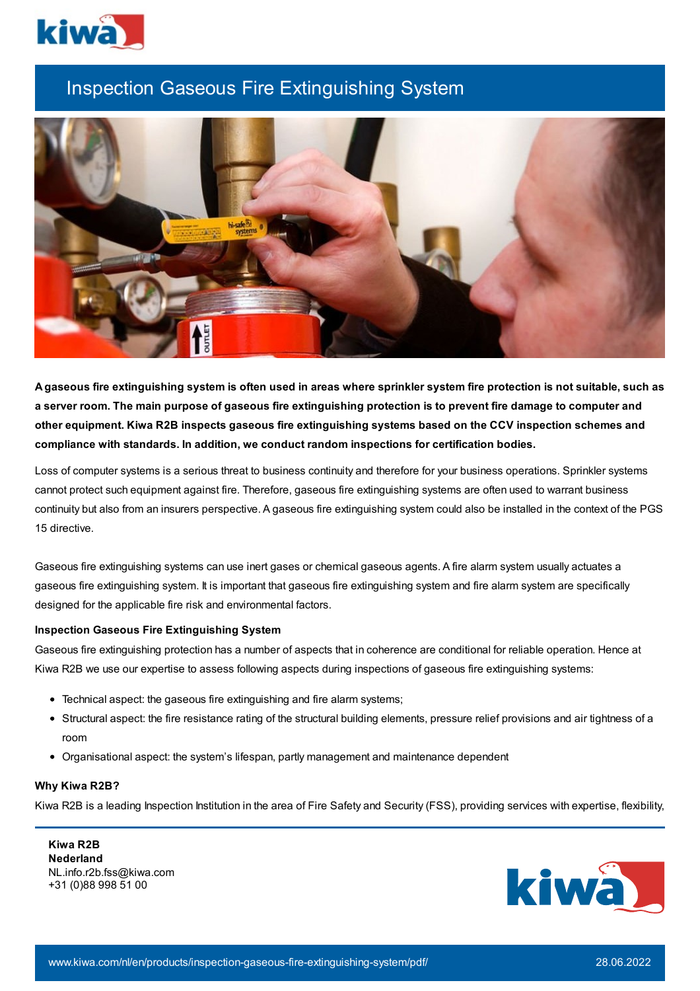

## Inspection Gaseous Fire Extinguishing System



A gaseous fire extinguishing system is often used in areas where sprinkler system fire protection is not suitable, such as a server room. The main purpose of gaseous fire extinguishing protection is to prevent fire damage to computer and **other equipment. Kiwa R2B inspects gaseous fire extinguishing systems based on the CCV inspection schemes and compliance with standards. In addition, we conduct random inspections for certification bodies.**

Loss of computer systems is a serious threat to business continuity and therefore for your business operations. Sprinkler systems cannot protect such equipment against fire. Therefore, gaseous fire extinguishing systems are often used to warrant business continuity but also from an insurers perspective. A gaseous fire extinguishing system could also be installed in the context of the PGS 15 directive.

Gaseous fire extinguishing systems can use inert gases or chemical gaseous agents. A fire alarm system usually actuates a gaseous fire extinguishing system. It is important that gaseous fire extinguishing system and fire alarm system are specifically designed for the applicable fire risk and environmental factors.

## **Inspection Gaseous Fire Extinguishing System**

Gaseous fire extinguishing protection has a number of aspects that in coherence are conditional for reliable operation. Hence at Kiwa R2B we use our expertise to assess following aspects during inspections of gaseous fire extinguishing systems:

- Technical aspect: the gaseous fire extinguishing and fire alarm systems;
- Structural aspect: the fire resistance rating of the structural building elements, pressure relief provisions and air tightness of a room
- Organisational aspect: the system's lifespan, partly management and maintenance dependent

## **Why Kiwa R2B?**

Kiwa R2B is a leading Inspection Institution in the area of Fire Safety and Security (FSS), providing services with expertise, flexibility,

**Kiwa R2B Nederland** NL.info.r2b.fss@kiwa.com +31 (0)88 998 51 00